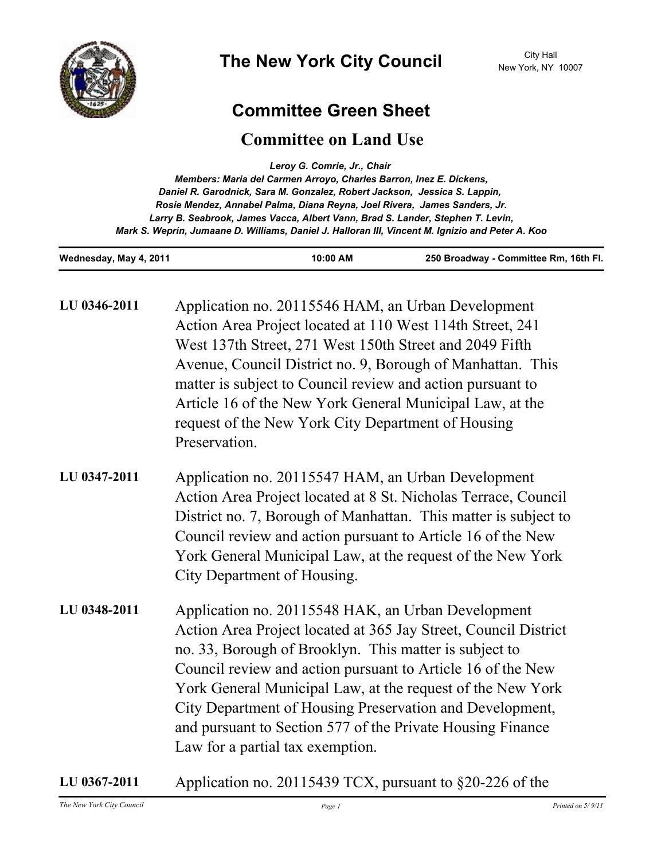

## **Committee Green Sheet**

## **Committee on Land Use**

| Leroy G. Comrie, Jr., Chair                                                                      |
|--------------------------------------------------------------------------------------------------|
| Members: Maria del Carmen Arroyo, Charles Barron, Inez E. Dickens,                               |
| Daniel R. Garodnick, Sara M. Gonzalez, Robert Jackson, Jessica S. Lappin,                        |
| Rosie Mendez, Annabel Palma, Diana Reyna, Joel Rivera, James Sanders, Jr.                        |
| Larry B. Seabrook, James Vacca, Albert Vann, Brad S. Lander, Stephen T. Levin,                   |
| Mark S. Weprin, Jumaane D. Williams, Daniel J. Halloran III, Vincent M. Ignizio and Peter A. Koo |

**Wednesday, May 4, 2011 10:00 AM 250 Broadway - Committee Rm, 16th Fl.**

| LU 0346-2011 | Application no. 20115546 HAM, an Urban Development<br>Action Area Project located at 110 West 114th Street, 241<br>West 137th Street, 271 West 150th Street and 2049 Fifth<br>Avenue, Council District no. 9, Borough of Manhattan. This<br>matter is subject to Council review and action pursuant to<br>Article 16 of the New York General Municipal Law, at the<br>request of the New York City Department of Housing<br>Preservation.                                  |
|--------------|----------------------------------------------------------------------------------------------------------------------------------------------------------------------------------------------------------------------------------------------------------------------------------------------------------------------------------------------------------------------------------------------------------------------------------------------------------------------------|
| LU 0347-2011 | Application no. 20115547 HAM, an Urban Development<br>Action Area Project located at 8 St. Nicholas Terrace, Council<br>District no. 7, Borough of Manhattan. This matter is subject to<br>Council review and action pursuant to Article 16 of the New<br>York General Municipal Law, at the request of the New York<br>City Department of Housing.                                                                                                                        |
| LU 0348-2011 | Application no. 20115548 HAK, an Urban Development<br>Action Area Project located at 365 Jay Street, Council District<br>no. 33, Borough of Brooklyn. This matter is subject to<br>Council review and action pursuant to Article 16 of the New<br>York General Municipal Law, at the request of the New York<br>City Department of Housing Preservation and Development,<br>and pursuant to Section 577 of the Private Housing Finance<br>Law for a partial tax exemption. |

**LU 0367-2011** Application no. 20115439 TCX, pursuant to §20-226 of the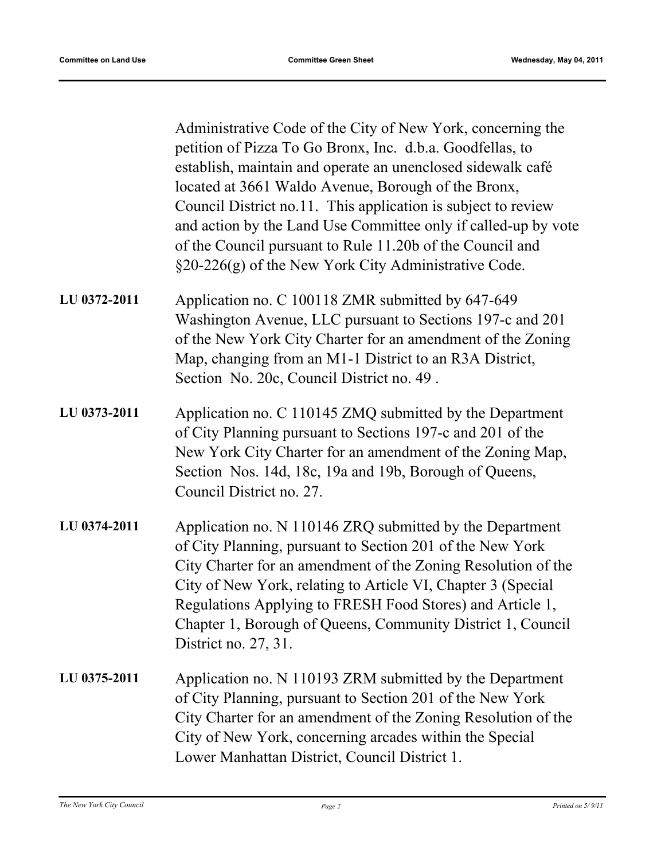Administrative Code of the City of New York, concerning the petition of Pizza To Go Bronx, Inc. d.b.a. Goodfellas, to establish, maintain and operate an unenclosed sidewalk café located at 3661 Waldo Avenue, Borough of the Bronx, Council District no.11. This application is subject to review and action by the Land Use Committee only if called-up by vote of the Council pursuant to Rule 11.20b of the Council and §20-226(g) of the New York City Administrative Code.

- Application no. C 100118 ZMR submitted by 647-649 Washington Avenue, LLC pursuant to Sections 197-c and 201 of the New York City Charter for an amendment of the Zoning Map, changing from an M1-1 District to an R3A District, Section No. 20c, Council District no. 49 . **LU 0372-2011**
- Application no. C 110145 ZMQ submitted by the Department of City Planning pursuant to Sections 197-c and 201 of the New York City Charter for an amendment of the Zoning Map, Section Nos. 14d, 18c, 19a and 19b, Borough of Queens, Council District no. 27. **LU 0373-2011**
- Application no. N 110146 ZRQ submitted by the Department of City Planning, pursuant to Section 201 of the New York City Charter for an amendment of the Zoning Resolution of the City of New York, relating to Article VI, Chapter 3 (Special Regulations Applying to FRESH Food Stores) and Article 1, Chapter 1, Borough of Queens, Community District 1, Council District no. 27, 31. **LU 0374-2011**
- Application no. N 110193 ZRM submitted by the Department of City Planning, pursuant to Section 201 of the New York City Charter for an amendment of the Zoning Resolution of the City of New York, concerning arcades within the Special Lower Manhattan District, Council District 1. **LU 0375-2011**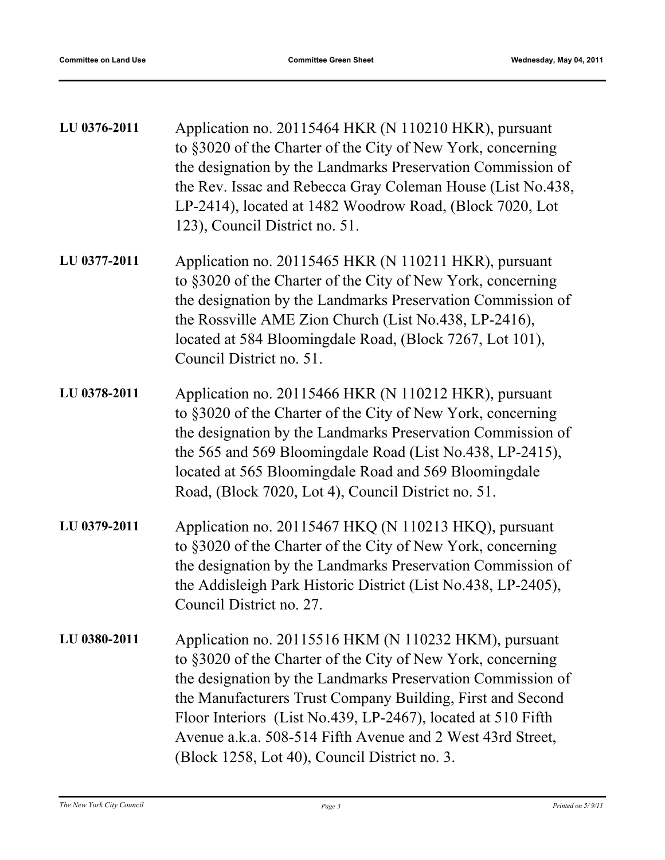| LU 0376-2011 | Application no. 20115464 HKR (N 110210 HKR), pursuant<br>to §3020 of the Charter of the City of New York, concerning<br>the designation by the Landmarks Preservation Commission of<br>the Rev. Issac and Rebecca Gray Coleman House (List No.438,<br>LP-2414), located at 1482 Woodrow Road, (Block 7020, Lot<br>123), Council District no. 51.                                                                                 |
|--------------|----------------------------------------------------------------------------------------------------------------------------------------------------------------------------------------------------------------------------------------------------------------------------------------------------------------------------------------------------------------------------------------------------------------------------------|
| LU 0377-2011 | Application no. 20115465 HKR (N 110211 HKR), pursuant<br>to §3020 of the Charter of the City of New York, concerning<br>the designation by the Landmarks Preservation Commission of<br>the Rossville AME Zion Church (List No.438, LP-2416),<br>located at 584 Bloomingdale Road, (Block 7267, Lot 101),<br>Council District no. 51.                                                                                             |
| LU 0378-2011 | Application no. 20115466 HKR (N 110212 HKR), pursuant<br>to §3020 of the Charter of the City of New York, concerning<br>the designation by the Landmarks Preservation Commission of<br>the 565 and 569 Bloomingdale Road (List No.438, LP-2415),<br>located at 565 Bloomingdale Road and 569 Bloomingdale<br>Road, (Block 7020, Lot 4), Council District no. 51.                                                                 |
| LU 0379-2011 | Application no. 20115467 HKQ (N 110213 HKQ), pursuant<br>to §3020 of the Charter of the City of New York, concerning<br>the designation by the Landmarks Preservation Commission of<br>the Addisleigh Park Historic District (List No.438, LP-2405),<br>Council District no. 27                                                                                                                                                  |
| LU 0380-2011 | Application no. 20115516 HKM (N 110232 HKM), pursuant<br>to §3020 of the Charter of the City of New York, concerning<br>the designation by the Landmarks Preservation Commission of<br>the Manufacturers Trust Company Building, First and Second<br>Floor Interiors (List No.439, LP-2467), located at 510 Fifth<br>Avenue a.k.a. 508-514 Fifth Avenue and 2 West 43rd Street,<br>(Block 1258, Lot 40), Council District no. 3. |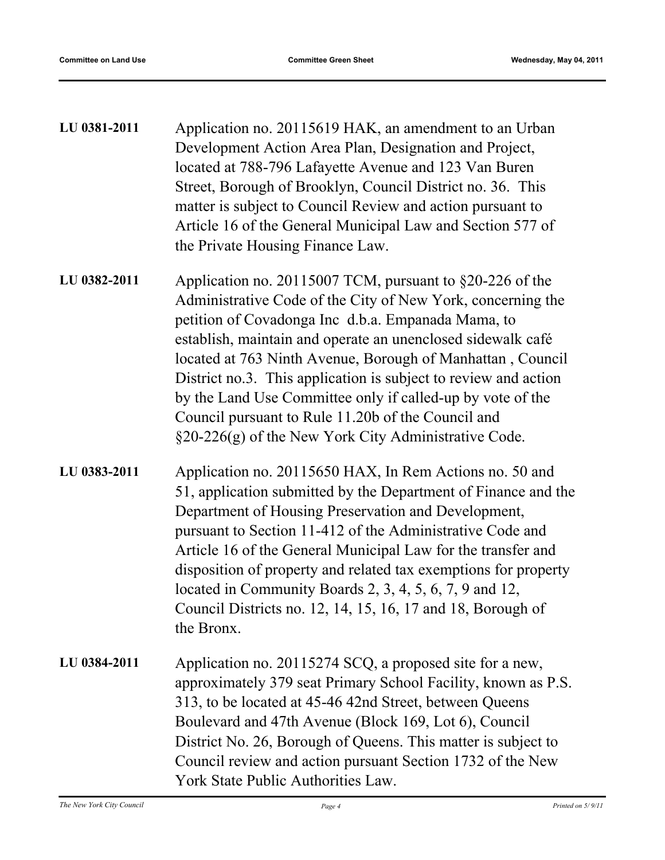| LU 0381-2011 | Application no. 20115619 HAK, an amendment to an Urban      |
|--------------|-------------------------------------------------------------|
|              | Development Action Area Plan, Designation and Project,      |
|              | located at 788-796 Lafayette Avenue and 123 Van Buren       |
|              | Street, Borough of Brooklyn, Council District no. 36. This  |
|              | matter is subject to Council Review and action pursuant to  |
|              | Article 16 of the General Municipal Law and Section 577 of  |
|              | the Private Housing Finance Law.                            |
| LU 0382-2011 | Application no. 20115007 TCM, pursuant to $\S20-226$ of the |
|              | Administrative Code of the City of New York, concerning the |
|              | petition of Covadonga Inc d.b.a. Empanada Mama, to          |

- petition of Covadonga Inc d.b.a. Empanada Mama, to establish, maintain and operate an unenclosed sidewalk café located at 763 Ninth Avenue, Borough of Manhattan , Council District no.3. This application is subject to review and action by the Land Use Committee only if called-up by vote of the Council pursuant to Rule 11.20b of the Council and §20-226(g) of the New York City Administrative Code.
- Application no. 20115650 HAX, In Rem Actions no. 50 and 51, application submitted by the Department of Finance and the Department of Housing Preservation and Development, pursuant to Section 11-412 of the Administrative Code and Article 16 of the General Municipal Law for the transfer and disposition of property and related tax exemptions for property located in Community Boards 2, 3, 4, 5, 6, 7, 9 and 12, Council Districts no. 12, 14, 15, 16, 17 and 18, Borough of the Bronx. **LU 0383-2011**
- Application no. 20115274 SCQ, a proposed site for a new, approximately 379 seat Primary School Facility, known as P.S. 313, to be located at 45-46 42nd Street, between Queens Boulevard and 47th Avenue (Block 169, Lot 6), Council District No. 26, Borough of Queens. This matter is subject to Council review and action pursuant Section 1732 of the New York State Public Authorities Law. **LU 0384-2011**